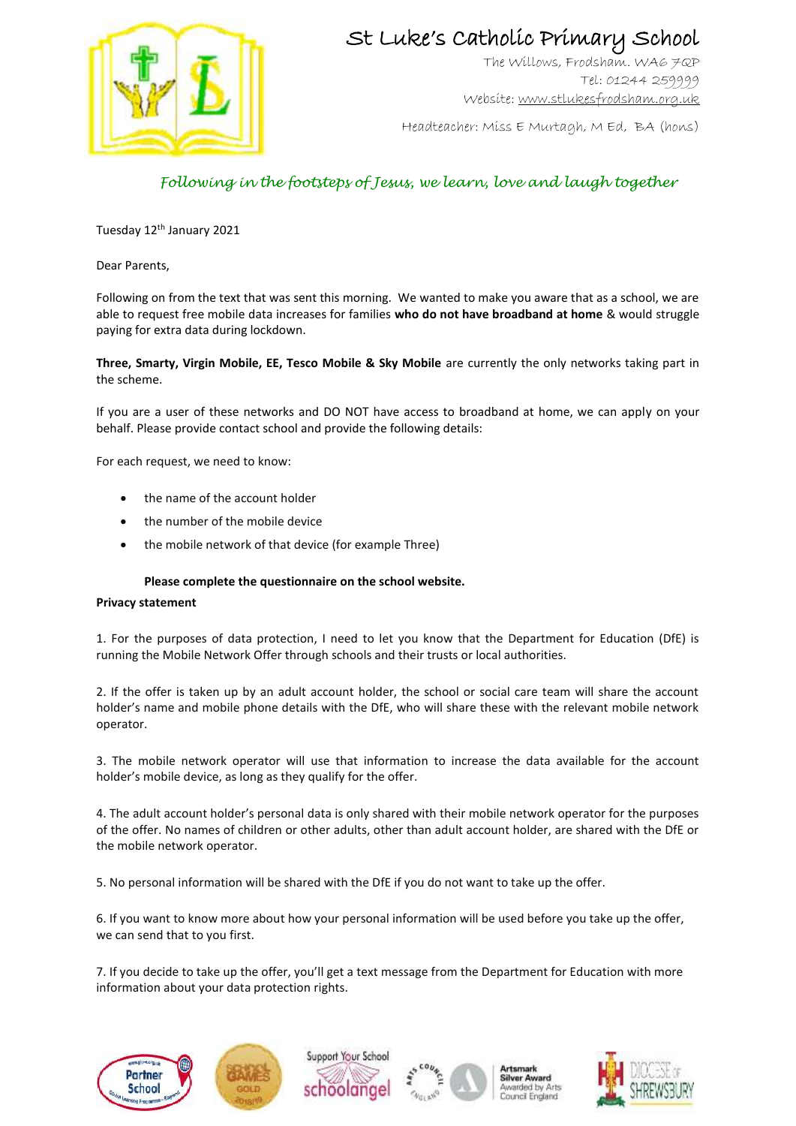

## St Luke's Catholic Primary School

The Willows, Frodsham. WA6 7QP Tel: 01244 259999 Website[: www.stlukesfrodsham.org.uk](http://www.stlukesfrodsham.org.uk/)

Headteacher: Miss E Murtagh, M Ed, BA (hons)

### *Following in the footsteps of Jesus, we learn, love and laugh together*

Tuesday 12<sup>th</sup> January 2021

Dear Parents,

Following on from the text that was sent this morning. We wanted to make you aware that as a school, we are able to request free mobile data increases for families **who do not have broadband at home** & would struggle paying for extra data during lockdown.

**Three, Smarty, Virgin Mobile, EE, Tesco Mobile & Sky Mobile** are currently the only networks taking part in the scheme.

If you are a user of these networks and DO NOT have access to broadband at home, we can apply on your behalf. Please provide contact school and provide the following details:

For each request, we need to know:

- the name of the account holder
- the number of the mobile device
- the mobile network of that device (for example Three)

#### **Please complete the questionnaire on the school website.**

#### **Privacy statement**

1. For the purposes of data protection, I need to let you know that the Department for Education (DfE) is running the Mobile Network Offer through schools and their trusts or local authorities.

2. If the offer is taken up by an adult account holder, the school or social care team will share the account holder's name and mobile phone details with the DfE, who will share these with the relevant mobile network operator.

3. The mobile network operator will use that information to increase the data available for the account holder's mobile device, as long as they qualify for the offer.

4. The adult account holder's personal data is only shared with their mobile network operator for the purposes of the offer. No names of children or other adults, other than adult account holder, are shared with the DfE or the mobile network operator.

5. No personal information will be shared with the DfE if you do not want to take up the offer.

6. If you want to know more about how your personal information will be used before you take up the offer, we can send that to you first.

7. If you decide to take up the offer, you'll get a text message from the Department for Education with more information about your data protection rights.